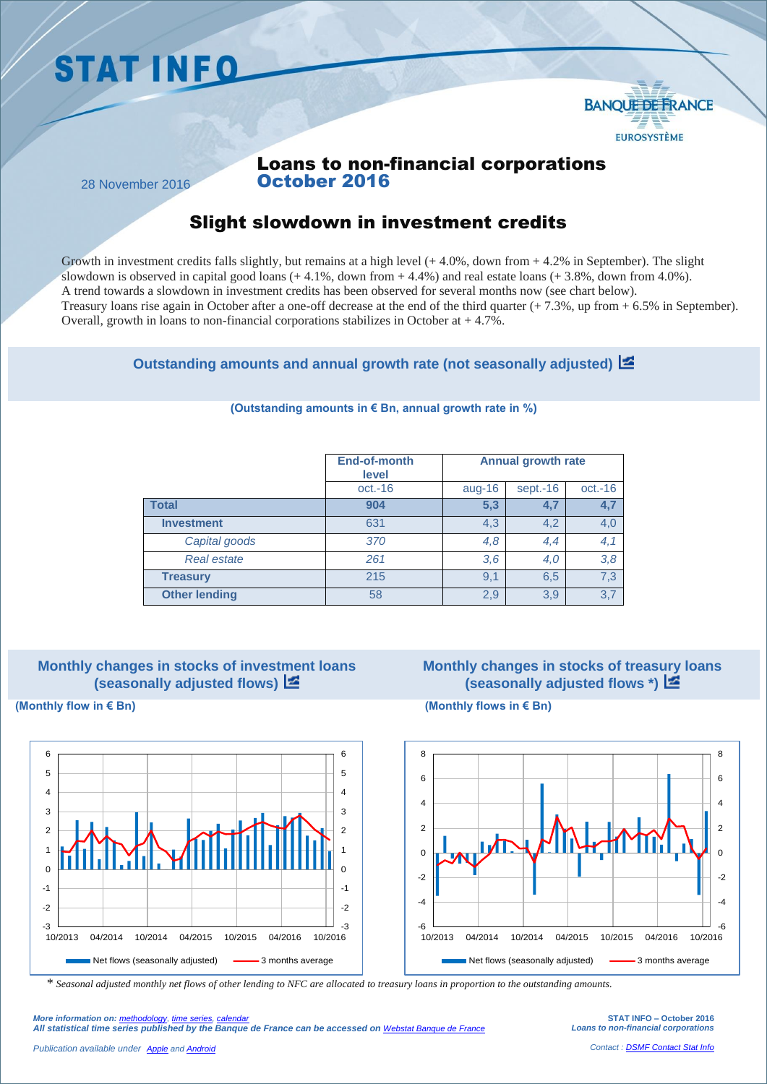# **STAT INFO**



## Loans to non-financial corporations October 2016

28 November 2016

# Slight slowdown in investment credits

Growth in investment credits falls slightly, but remains at a high level  $(+4.0\%$ , down from  $+4.2\%$  in September). The slight slowdown is observed in capital good loans  $(+ 4.1\%$ , down from  $+ 4.4\%$ ) and real estate loans  $(+ 3.8\%$ , down from  $4.0\%$ ). A trend towards a slowdown in investment credits has been observed for several months now (see chart below). Treasury loans rise again in October after a one-off decrease at the end of the third quarter (+ 7.3%, up from + 6.5% in September). Overall, growth in loans to non-financial corporations stabilizes in October at  $+4.7\%$ .

**Outstanding amounts and annual growth rate (not seasonally adjusted)**

|                      | End-of-month<br>level | <b>Annual growth rate</b> |          |           |
|----------------------|-----------------------|---------------------------|----------|-----------|
|                      | $oct.-16$             | aug-16                    | sept.-16 | $oct.-16$ |
| <b>Total</b>         | 904                   | 5,3                       | 4,7      | 4,7       |
| <b>Investment</b>    | 631                   | 4,3                       | 4,2      | 4,0       |
| Capital goods        | 370                   | 4,8                       | 4,4      | 4,1       |
| <b>Real estate</b>   | 261                   | 3,6                       | 4,0      | 3,8       |
| <b>Treasury</b>      | 215                   | 9,1                       | 6,5      | 7,3       |
| <b>Other lending</b> | 58                    | 2,9                       | 3,9      | 3,7       |

#### **(Outstanding amounts in € Bn, annual growth rate in %)**

#### **Monthly changes in stocks of investment loans (seasonally adjusted flows)**

# **Monthly changes in stocks of treasury loans (seasonally adjusted flows \*)**



**(Monthly flow in € Bn) (Monthly flows in € Bn)**



*\* Seasonal adjusted monthly net flows of other lending to NFC are allocated to treasury loans in proportion to the outstanding amounts.*

*More information on: [methodology,](https://www.banque-france.fr/en/economics-statistics/database/methodology.html) [time series,](http://webstat.banque-france.fr/en/browse.do?node=5384776) [calendar](https://www.banque-france.fr/en/economics-statistics/calendar.html) All statistical time series published by the Banque de France can be accessed on [Webstat Banque de France](http://webstat.banque-france.fr/en/)*

**STAT INFO – October 2016** *Loans to non-financial corporations*

*Contact [: DSMF Contact Stat Info](mailto:1415-CONTACTSI-UT@banque-france.fr?subject=[Support%20statistique]%20%20%20Credits%20%20aux%20SNF)*